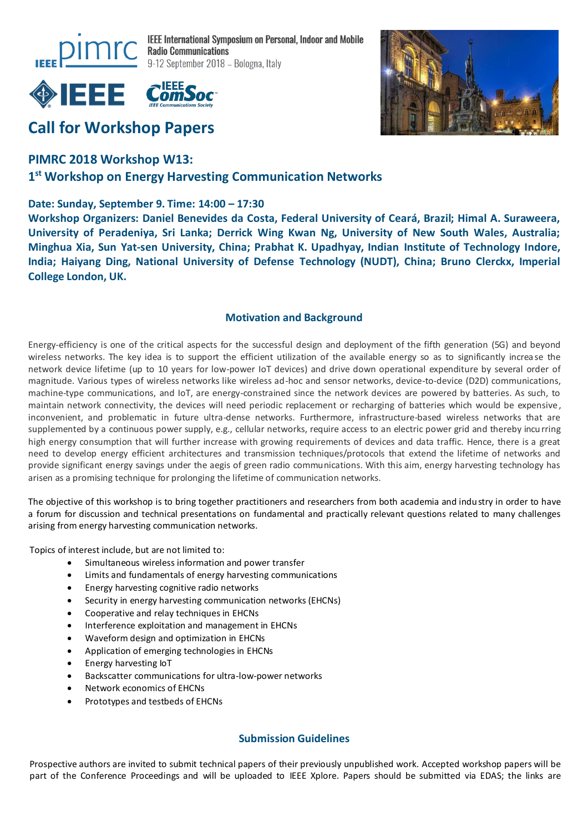

**IEEE International Symposium on Personal, Indoor and Mobile** 9-12 September 2018 - Bologna, Italy



# **Call for Workshop Papers**

### **PIMRC 2018 Workshop W13:**

## **1 st Workshop on Energy Harvesting Communication Networks**

#### **Date: Sunday, September 9. Time: 14:00 – 17:30**

**Workshop Organizers: Daniel Benevides da Costa, Federal University of Ceará, Brazil; Himal A. Suraweera, University of Peradeniya, Sri Lanka; Derrick Wing Kwan Ng, University of New South Wales, Australia; Minghua Xia, Sun Yat-sen University, China; Prabhat K. Upadhyay, Indian Institute of Technology Indore, India; Haiyang Ding, National University of Defense Technology (NUDT), China; Bruno Clerckx, Imperial College London, UK.**

#### **Motivation and Background**

Energy-efficiency is one of the critical aspects for the successful design and deployment of the fifth generation (5G) and beyond wireless networks. The key idea is to support the efficient utilization of the available energy so as to significantly increa se the network device lifetime (up to 10 years for low-power IoT devices) and drive down operational expenditure by several order of magnitude. Various types of wireless networks like wireless ad-hoc and sensor networks, device-to-device (D2D) communications, machine-type communications, and IoT, are energy-constrained since the network devices are powered by batteries. As such, to maintain network connectivity, the devices will need periodic replacement or recharging of batteries which would be expensive, inconvenient, and problematic in future ultra-dense networks. Furthermore, infrastructure-based wireless networks that are supplemented by a continuous power supply, e.g., cellular networks, require access to an electric power grid and thereby incurring high energy consumption that will further increase with growing requirements of devices and data traffic. Hence, there is a great need to develop energy efficient architectures and transmission techniques/protocols that extend the lifetime of networks and provide significant energy savings under the aegis of green radio communications. With this aim, energy harvesting technology has arisen as a promising technique for prolonging the lifetime of communication networks.

The objective of this workshop is to bring together practitioners and researchers from both academia and industry in order to have a forum for discussion and technical presentations on fundamental and practically relevant questions related to many challenges arising from energy harvesting communication networks.

Topics of interest include, but are not limited to:

- Simultaneous wireless information and power transfer
- Limits and fundamentals of energy harvesting communications
- Energy harvesting cognitive radio networks
- Security in energy harvesting communication networks (EHCNs)
- Cooperative and relay techniques in EHCNs
- Interference exploitation and management in EHCNs
- Waveform design and optimization in EHCNs
- Application of emerging technologies in EHCNs
- Energy harvesting IoT
- Backscatter communications for ultra-low-power networks
- Network economics of EHCNs
- Prototypes and testbeds of EHCNs

#### **Submission Guidelines**

Prospective authors are invited to submit technical papers of their previously unpublished work. Accepted workshop papers will be part of the Conference Proceedings and will be uploaded to IEEE Xplore. Papers should be submitted via EDAS; the links are